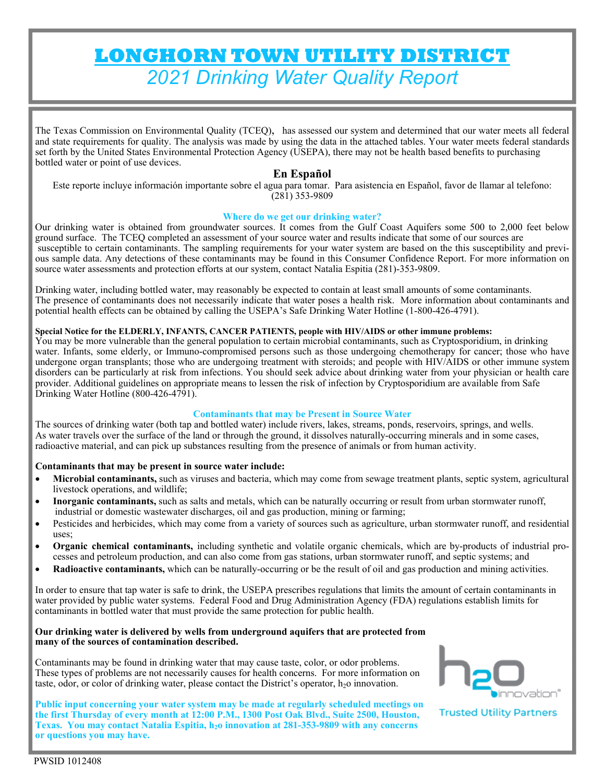# **LONGHORN TOWN UTILITY DISTRICT**  *2021 Drinking Water Quality Report*

The Texas Commission on Environmental Quality (TCEQ), has assessed our system and determined that our water meets all federal and state requirements for quality. The analysis was made by using the data in the attached tables. Your water meets federal standards set forth by the United States Environmental Protection Agency (USEPA), there may not be health based benefits to purchasing bottled water or point of use devices.

## **En Español**

Este reporte incluye información importante sobre el agua para tomar. Para asistencia en Español, favor de llamar al telefono: (281) 353-9809

#### **Where do we get our drinking water?**

Our drinking water is obtained from groundwater sources. It comes from the Gulf Coast Aquifers some 500 to 2,000 feet below ground surface. The TCEQ completed an assessment of your source water and results indicate that some of our sources are susceptible to certain contaminants. The sampling requirements for your water system are based on the this susceptibility and previous sample data. Any detections of these contaminants may be found in this Consumer Confidence Report. For more information on source water assessments and protection efforts at our system, contact Natalia Espitia (281)-353-9809.

Drinking water, including bottled water, may reasonably be expected to contain at least small amounts of some contaminants. The presence of contaminants does not necessarily indicate that water poses a health risk. More information about contaminants and potential health effects can be obtained by calling the USEPA's Safe Drinking Water Hotline (1-800-426-4791).

# **Special Notice for the ELDERLY, INFANTS, CANCER PATIENTS, people with HIV/AIDS or other immune problems:**

You may be more vulnerable than the general population to certain microbial contaminants, such as Cryptosporidium, in drinking water. Infants, some elderly, or Immuno-compromised persons such as those undergoing chemotherapy for cancer; those who have undergone organ transplants; those who are undergoing treatment with steroids; and people with HIV/AIDS or other immune system disorders can be particularly at risk from infections. You should seek advice about drinking water from your physician or health care provider. Additional guidelines on appropriate means to lessen the risk of infection by Cryptosporidium are available from Safe Drinking Water Hotline (800-426-4791).

#### **Contaminants that may be Present in Source Water**

The sources of drinking water (both tap and bottled water) include rivers, lakes, streams, ponds, reservoirs, springs, and wells. As water travels over the surface of the land or through the ground, it dissolves naturally-occurring minerals and in some cases, radioactive material, and can pick up substances resulting from the presence of animals or from human activity.

#### **Contaminants that may be present in source water include:**

- **Microbial contaminants,** such as viruses and bacteria, which may come from sewage treatment plants, septic system, agricultural livestock operations, and wildlife;
- **Inorganic contaminants,** such as salts and metals, which can be naturally occurring or result from urban stormwater runoff, industrial or domestic wastewater discharges, oil and gas production, mining or farming;
- Pesticides and herbicides, which may come from a variety of sources such as agriculture, urban stormwater runoff, and residential uses;
- **Organic chemical contaminants,** including synthetic and volatile organic chemicals, which are by-products of industrial processes and petroleum production, and can also come from gas stations, urban stormwater runoff, and septic systems; and
- **Radioactive contaminants,** which can be naturally-occurring or be the result of oil and gas production and mining activities.

In order to ensure that tap water is safe to drink, the USEPA prescribes regulations that limits the amount of certain contaminants in water provided by public water systems. Federal Food and Drug Administration Agency (FDA) regulations establish limits for contaminants in bottled water that must provide the same protection for public health.

#### **Our drinking water is delivered by wells from underground aquifers that are protected from many of the sources of contamination described.**

Contaminants may be found in drinking water that may cause taste, color, or odor problems. These types of problems are not necessarily causes for health concerns. For more information on taste, odor, or color of drinking water, please contact the District's operator,  $h<sub>2</sub>$  innovation.

**Public input concerning your water system may be made at regularly scheduled meetings on the first Thursday of every month at 12:00 P.M., 1300 Post Oak Blvd., Suite 2500, Houston, Texas. You may contact Natalia Espitia, h<sub>2</sub>o innovation at 281-353-9809 with any concerns or questions you may have.** 



**Trusted Utility Partners**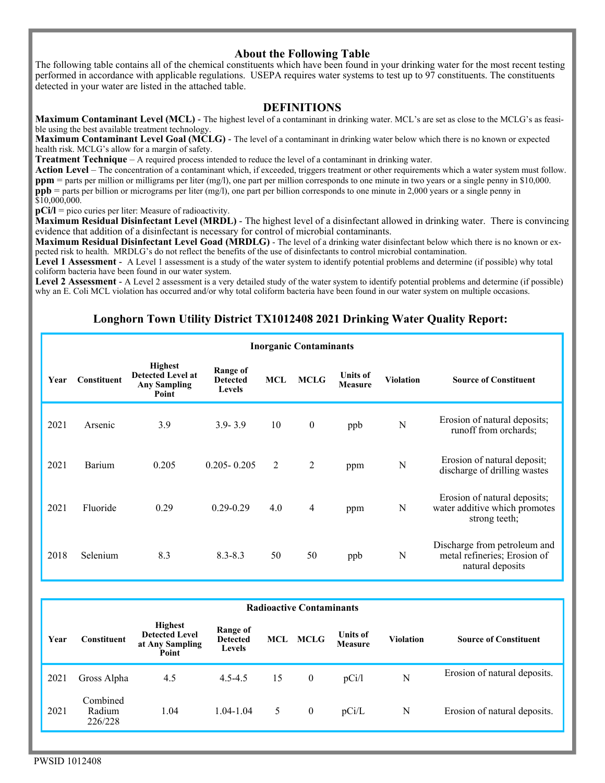## **About the Following Table**

The following table contains all of the chemical constituents which have been found in your drinking water for the most recent testing performed in accordance with applicable regulations. USEPA requires water systems to test up to 97 constituents. The constituents detected in your water are listed in the attached table.

#### **DEFINITIONS**

**Maximum Contaminant Level (MCL)** - The highest level of a contaminant in drinking water. MCL's are set as close to the MCLG's as feasible using the best available treatment technology.

**Maximum Contaminant Level Goal (MCLG)** - The level of a contaminant in drinking water below which there is no known or expected health risk. MCLG's allow for a margin of safety.

**Treatment Technique** – A required process intended to reduce the level of a contaminant in drinking water.

Action Level – The concentration of a contaminant which, if exceeded, triggers treatment or other requirements which a water system must follow. **ppm** = parts per million or milligrams per liter (mg/l), one part per million corresponds to one minute in two years or a single penny in \$10,000. **ppb** = parts per billion or micrograms per liter (mg/l), one part per billion corresponds to one minute in 2,000 years or a single penny in \$10,000,000.

**pCi/l** = pico curies per liter: Measure of radioactivity.

**Maximum Residual Disinfectant Level (MRDL)** - The highest level of a disinfectant allowed in drinking water. There is convincing evidence that addition of a disinfectant is necessary for control of microbial contaminants.

**Maximum Residual Disinfectant Level Goad (MRDLG)** - The level of a drinking water disinfectant below which there is no known or expected risk to health. MRDLG's do not reflect the benefits of the use of disinfectants to control microbial contamination.

**Level 1 Assessment** - A Level 1 assessment is a study of the water system to identify potential problems and determine (if possible) why total coliform bacteria have been found in our water system.

Level 2 Assessment - A Level 2 assessment is a very detailed study of the water system to identify potential problems and determine (if possible) why an E. Coli MCL violation has occurred and/or why total coliform bacteria have been found in our water system on multiple occasions.

# **Longhorn Town Utility District TX1012408 2021 Drinking Water Quality Report:**

|      | <b>Inorganic Contaminants</b> |                                                                            |                                              |     |                  |                                   |                  |                                                                                  |  |  |  |  |  |
|------|-------------------------------|----------------------------------------------------------------------------|----------------------------------------------|-----|------------------|-----------------------------------|------------------|----------------------------------------------------------------------------------|--|--|--|--|--|
| Year | <b>Constituent</b>            | <b>Highest</b><br><b>Detected Level at</b><br><b>Any Sampling</b><br>Point | Range of<br><b>Detected</b><br><b>Levels</b> | MCL | <b>MCLG</b>      | <b>Units of</b><br><b>Measure</b> | <b>Violation</b> | <b>Source of Constituent</b>                                                     |  |  |  |  |  |
| 2021 | Arsenic                       | 3.9                                                                        | $3.9 - 3.9$                                  | 10  | $\boldsymbol{0}$ | ppb                               | N                | Erosion of natural deposits;<br>runoff from orchards;                            |  |  |  |  |  |
| 2021 | Barium                        | 0.205                                                                      | $0.205 - 0.205$                              | 2   | 2                | ppm                               | N                | Erosion of natural deposit;<br>discharge of drilling wastes                      |  |  |  |  |  |
| 2021 | Fluoride                      | 0.29                                                                       | $0.29 - 0.29$                                | 4.0 | 4                | ppm                               | N                | Erosion of natural deposits;<br>water additive which promotes<br>strong teeth;   |  |  |  |  |  |
| 2018 | Selenium                      | 8.3                                                                        | $8.3 - 8.3$                                  | 50  | 50               | ppb                               | N                | Discharge from petroleum and<br>metal refineries; Erosion of<br>natural deposits |  |  |  |  |  |

| <b>Radioactive Contaminants</b> |                                                                                    |      |                                              |                    |                |                            |                  |                              |  |  |  |
|---------------------------------|------------------------------------------------------------------------------------|------|----------------------------------------------|--------------------|----------------|----------------------------|------------------|------------------------------|--|--|--|
| Year                            | <b>Highest</b><br><b>Detected Level</b><br>Constituent<br>at Any Sampling<br>Point |      | Range of<br><b>Detected</b><br><b>Levels</b> | <b>MCLG</b><br>MCL |                | <b>Units of</b><br>Measure | <b>Violation</b> | <b>Source of Constituent</b> |  |  |  |
| 2021                            | Gross Alpha                                                                        | 4.5  | $4.5 - 4.5$                                  | 15                 | $\overline{0}$ | pCi/l                      | N                | Erosion of natural deposits. |  |  |  |
| 2021                            | Combined<br>Radium<br>226/228                                                      | 1.04 | $1.04 - 1.04$                                | 5.                 | $\mathbf{0}$   | pCi/L                      | N                | Erosion of natural deposits. |  |  |  |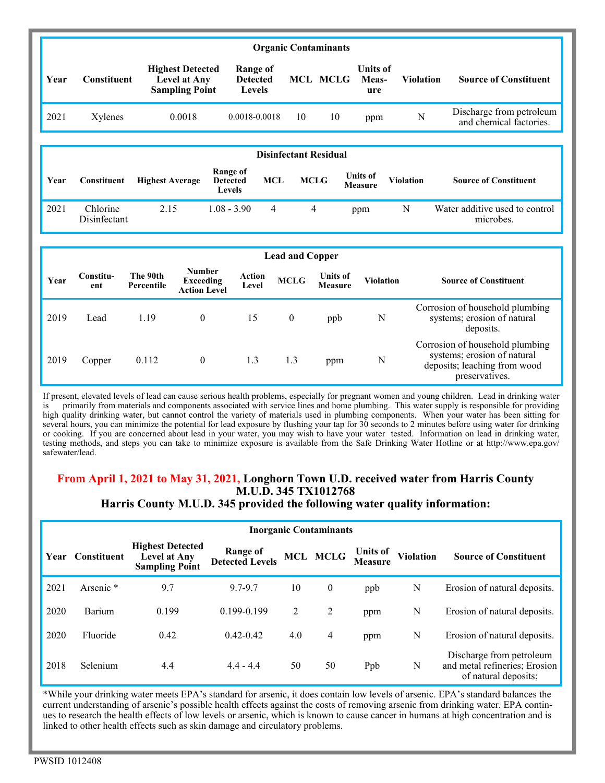|                              | <b>Organic Contaminants</b> |                                                                                    |                                              |                                              |             |                                   |                                 |                  |                                                     |  |  |
|------------------------------|-----------------------------|------------------------------------------------------------------------------------|----------------------------------------------|----------------------------------------------|-------------|-----------------------------------|---------------------------------|------------------|-----------------------------------------------------|--|--|
| Year                         | Constituent                 | <b>Highest Detected</b><br>Level at Any<br><b>Sampling Point</b>                   |                                              | Range of<br><b>Detected</b><br><b>Levels</b> |             | <b>MCL MCLG</b>                   | <b>Units of</b><br>Meas-<br>ure | <b>Violation</b> | <b>Source of Constituent</b>                        |  |  |
| 2021                         | Xylenes                     | 0.0018                                                                             |                                              | 0.0018-0.0018                                | 10          | 10                                | ppm                             | N                | Discharge from petroleum<br>and chemical factories. |  |  |
| <b>Disinfectant Residual</b> |                             |                                                                                    |                                              |                                              |             |                                   |                                 |                  |                                                     |  |  |
| Year                         | Constituent                 | <b>Highest Average</b>                                                             | <b>Range of</b><br><b>Detected</b><br>Levels | <b>MCL</b>                                   | <b>MCLG</b> |                                   | <b>Units of</b><br>Measure      | <b>Violation</b> | <b>Source of Constituent</b>                        |  |  |
| 2021                         | Chlorine<br>Disinfectant    | 2.15                                                                               | $1.08 - 3.90$                                | $\overline{4}$                               | 4           |                                   | ppm                             | N                | Water additive used to control<br>microbes.         |  |  |
|                              | <b>Lead and Copper</b>      |                                                                                    |                                              |                                              |             |                                   |                                 |                  |                                                     |  |  |
| Year                         | Constitu-<br>ent            | <b>Number</b><br>The 90th<br><b>Exceeding</b><br>Percentile<br><b>Action Level</b> |                                              | <b>Action</b><br>Level                       | <b>MCLG</b> | <b>Units of</b><br><b>Measure</b> | <b>Violation</b>                |                  | <b>Source of Constituent</b>                        |  |  |

| 2019          | _ead   | 1.19  |     | ppb                     |   | Corrosion of household plumbing<br>systems; erosion of natural<br>deposits.                                      |
|---------------|--------|-------|-----|-------------------------|---|------------------------------------------------------------------------------------------------------------------|
| 2019          | Copper | 0.112 | 1.3 | ppm                     | N | Corrosion of household plumbing<br>systems; erosion of natural<br>deposits; leaching from wood<br>preservatives. |
| $\sim$ $\sim$ | .      |       |     | $\cdot$ $\cdot$ $\cdot$ |   | $\cdots$                                                                                                         |

If present, elevated levels of lead can cause serious health problems, especially for pregnant women and young children. Lead in drinking water is primarily from materials and components associated with service lines and home plumbing. This water supply is responsible for providing high quality drinking water, but cannot control the variety of materials used in plumbing components. When your water has been sitting for several hours, you can minimize the potential for lead exposure by flushing your tap for 30 seconds to 2 minutes before using water for drinking or cooking. If you are concerned about lead in your water, you may wish to have your water tested. Information on lead in drinking water, testing methods, and steps you can take to minimize exposure is available from the Safe Drinking Water Hotline or at http://www.epa.gov/ safewater/lead.

# **From April 1, 2021 to May 31, 2021, Longhorn Town U.D. received water from Harris County M.U.D. 345 TX1012768**

# **Harris County M.U.D. 345 provided the following water quality information:**

|      | <b>Inorganic Contaminants</b> |                                                                  |                                           |     |              |                            |                  |                                                                                   |  |  |  |
|------|-------------------------------|------------------------------------------------------------------|-------------------------------------------|-----|--------------|----------------------------|------------------|-----------------------------------------------------------------------------------|--|--|--|
| Year | <b>Constituent</b>            | <b>Highest Detected</b><br>Level at Any<br><b>Sampling Point</b> | <b>Range of</b><br><b>Detected Levels</b> |     | MCL MCLG     | Units of<br><b>Measure</b> | <b>Violation</b> | <b>Source of Constituent</b>                                                      |  |  |  |
| 2021 | Arsenic <sup>*</sup>          | 9.7                                                              | 9.7-9.7                                   | 10  | $\mathbf{0}$ | ppb                        | N                | Erosion of natural deposits.                                                      |  |  |  |
| 2020 | Barium                        | 0.199                                                            | $0.199 - 0.199$                           | 2   | 2            | ppm                        | N                | Erosion of natural deposits.                                                      |  |  |  |
| 2020 | Fluoride                      | 0.42                                                             | $0.42 - 0.42$                             | 4.0 | 4            | ppm                        | N                | Erosion of natural deposits.                                                      |  |  |  |
| 2018 | Selenium                      | 4.4                                                              | $4.4 - 4.4$                               | 50  | 50           | Ppb                        | N                | Discharge from petroleum<br>and metal refineries; Erosion<br>of natural deposits; |  |  |  |

\*While your drinking water meets EPA's standard for arsenic, it does contain low levels of arsenic. EPA's standard balances the current understanding of arsenic's possible health effects against the costs of removing arsenic from drinking water. EPA continues to research the health effects of low levels or arsenic, which is known to cause cancer in humans at high concentration and is linked to other health effects such as skin damage and circulatory problems.